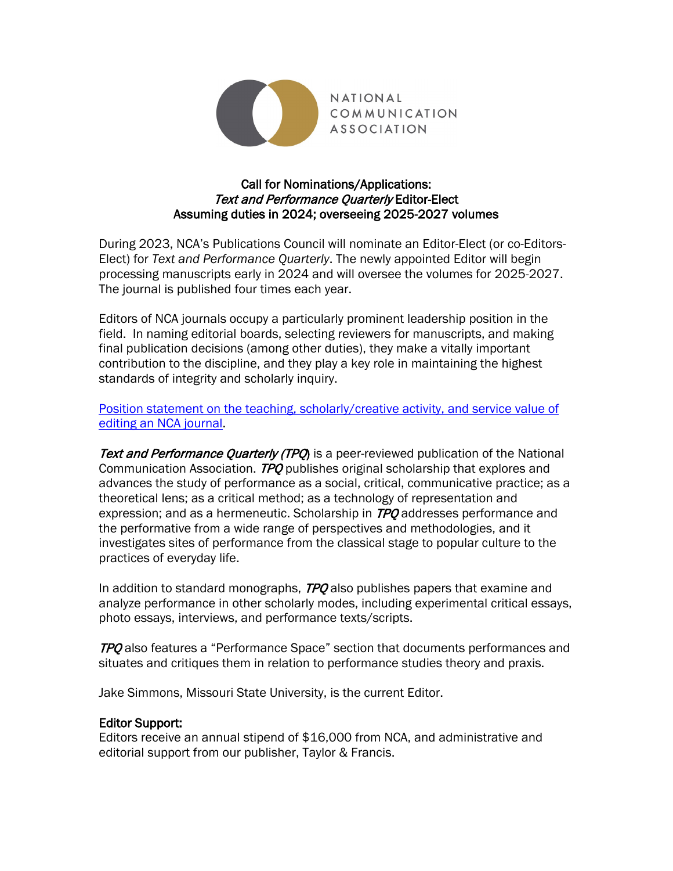

## Call for Nominations/Applications: **Text and Performance Quarterly Editor-Elect** Assuming duties in 2024; overseeing 2025-2027 volumes

During 2023, NCA's Publications Council will nominate an Editor-Elect (or co-Editors-Elect) for *Text and Performance Quarterly*. The newly appointed Editor will begin processing manuscripts early in 2024 and will oversee the volumes for 2025-2027. The journal is published four times each year.

Editors of NCA journals occupy a particularly prominent leadership position in the field. In naming editorial boards, selecting reviewers for manuscripts, and making final publication decisions (among other duties), they make a vitally important contribution to the discipline, and they play a key role in maintaining the highest standards of integrity and scholarly inquiry.

[Position statement on the teaching, scholarly/creative activity, and service value of](https://www.natcom.org/sites/default/files/pages/Position_Statement_on_the_Value_of_Editing_an_NCA_Journal.pdf)  [editing an NCA journal.](https://www.natcom.org/sites/default/files/pages/Position_Statement_on_the_Value_of_Editing_an_NCA_Journal.pdf)

Text and Performance Quarterly (TPQ) is a peer-reviewed publication of the National Communication Association. TPO publishes original scholarship that explores and advances the study of performance as a social, critical, communicative practice; as a theoretical lens; as a critical method; as a technology of representation and expression; and as a hermeneutic. Scholarship in TPQ addresses performance and the performative from a wide range of perspectives and methodologies, and it investigates sites of performance from the classical stage to popular culture to the practices of everyday life.

In addition to standard monographs,  $TPO$  also publishes papers that examine and analyze performance in other scholarly modes, including experimental critical essays, photo essays, interviews, and performance texts/scripts.

TPO also features a "Performance Space" section that documents performances and situates and critiques them in relation to performance studies theory and praxis.

Jake Simmons, Missouri State University, is the current Editor.

#### Editor Support:

Editors receive an annual stipend of \$16,000 from NCA, and administrative and editorial support from our publisher, Taylor & Francis.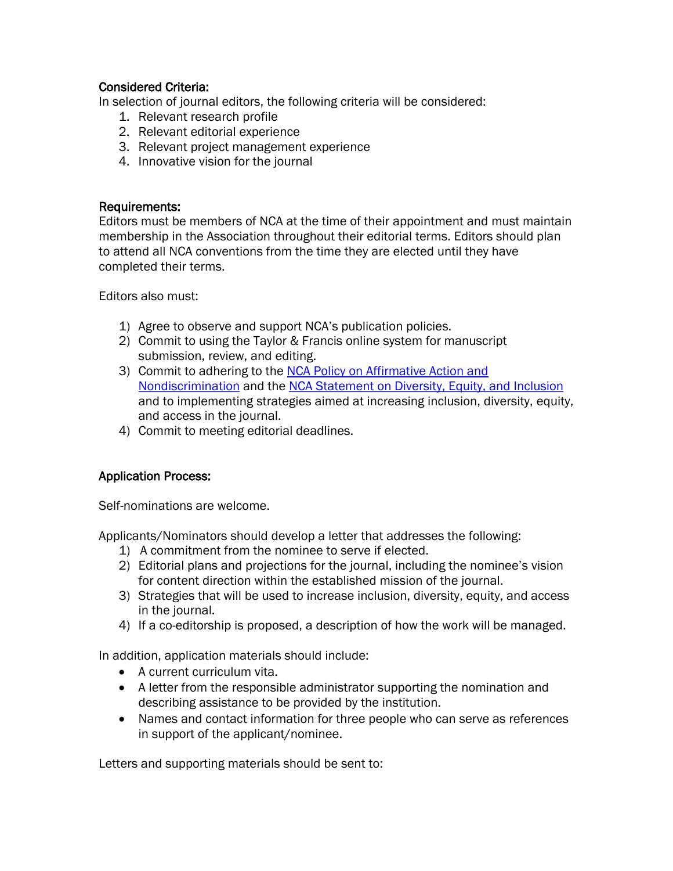## Considered Criteria:

In selection of journal editors, the following criteria will be considered:

- 1. Relevant research profile
- 2. Relevant editorial experience
- 3. Relevant project management experience
- 4. Innovative vision for the journal

#### Requirements:

Editors must be members of NCA at the time of their appointment and must maintain membership in the Association throughout their editorial terms. Editors should plan to attend all NCA conventions from the time they are elected until they have completed their terms.

Editors also must:

- 1) Agree to observe and support NCA's publication policies.
- 2) Commit to using the Taylor & Francis online system for manuscript submission, review, and editing.
- 3) Commit to adhering to the [NCA Policy on Affirmative Action and](https://www.natcom.org/sites/default/files/Public_Statement_NCA_Policy_on_Affirmative_Action_and_Nondiscrimination_2017.pdf)  [Nondiscrimination](https://www.natcom.org/sites/default/files/Public_Statement_NCA_Policy_on_Affirmative_Action_and_Nondiscrimination_2017.pdf) and the [NCA Statement on Diversity, Equity, and Inclusion](https://www.natcom.org/sites/default/files/NCA_Statement_on_Diversity_Equity_and_Inclusion_2018.pdf) and to implementing strategies aimed at increasing inclusion, diversity, equity, and access in the journal.
- 4) Commit to meeting editorial deadlines.

# Application Process:

Self-nominations are welcome.

Applicants/Nominators should develop a letter that addresses the following:

- 1) A commitment from the nominee to serve if elected.
- 2) Editorial plans and projections for the journal, including the nominee's vision for content direction within the established mission of the journal.
- 3) Strategies that will be used to increase inclusion, diversity, equity, and access in the journal.
- 4) If a co-editorship is proposed, a description of how the work will be managed.

In addition, application materials should include:

- A current curriculum vita.
- A letter from the responsible administrator supporting the nomination and describing assistance to be provided by the institution.
- Names and contact information for three people who can serve as references in support of the applicant/nominee.

Letters and supporting materials should be sent to: